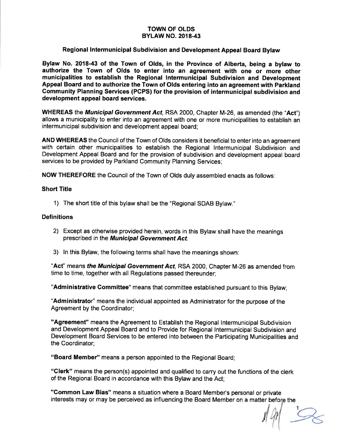#### TOWN OF OLDS BYLAW NO. 2018.43

### Regional Intermunicipal Subdivision and Development Appeal Board Bylaw

Bylaw No. 2018-43 of the Town of Olds, in the Province of Alberta, being a bylaw to authorize the Town of Olds to enter into an agreement with one or more other municipalities to establish the Regional lntermunicipal Subdivision and Development Appeal Board and to authorize the Town of Olds entering into an agreement with Parkland Community Planning Services (PCPS) for the provision of intermunicipal subdivision and development appeal board services.

WHEREAS the *Municipal Government Act*, RSA 2000, Chapter M-26, as amended (the "Act") allows a municipality to enter into an agreement with one or more municipalities to establish an intermunicipal subdivision and development appeal board;

AND WHEREAS the Council of the Town of Olds considers it beneficial to enter into an agreement with certain other municipalities to establish the Regional lntermunicipal Subdivision and Development Appeal Board and for the provision of subdivision and development appeal board services to be provided by Parkland Community Planning Services;

NOW THEREFORE the Council of the Town of Olds duly assembled enacts as follows:

#### Short Title

1) The short title of this bylaw shall be the "Regional SDAB Bylaw."

#### **Definitions**

- 2) Except as otherwise provided herein, words in this Bylaw shall have the meanings prescribed in the Municipal Government Act.
- 3) ln this Bylaw, the following terms shall have the meanings shown:

"Act" means the Municipal Government Act, RSA 2000, Chapter M-26 as amended from time to time, together with all Regulations passed thereunder;

"Administrative Committee" means that committee established pursuant to this Bylaw;

"Administrator" means the individual appointed as Administrator for the purpose of the Agreement by the Coordinator;

"Agreement" means the Agreement to Establish the Regional lntermunicipal Subdivision and Development Appeal Board and to Provide for Regional lntermunicipal Subdivision and Development Board Services to be entered into between the Participating Municipalities and the Coordinator;

"Board Member" means a person appointed to the Regional Board;

"Glerk" means the person(s) appointed and qualified to carry out the functions of the clerk of the Regional Board in accordance with this Bylaw and the Act;

"Common Law Bias" means a situation where a Board Member's personal or private interests may or may be perceived as influencing the Board Member on a matter before the

il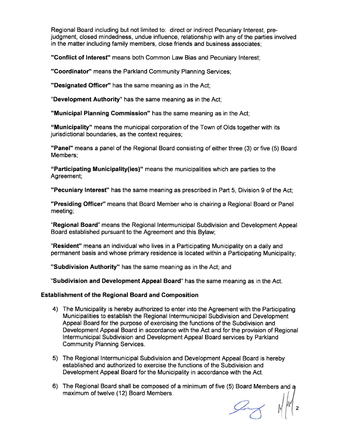Regional Board including but not limited to: direct or indirect Pecuniary lnterest, prejudgment, closed mindedness, undue influence, relationship with any of the parties involved in the matter including family members, close friends and business associates;

"Gonflict of lnterest" means both Common Law Bias and Pecuniary lnterest;

"Coordinator" means the Parkland Community Planning Services;

"Designated Officer" has the same meaning as in the Act;

"Development Authority" has the same meaning as in the Act;

"Municipal Planning Commission" has the same meaning as in the Act;

"Municipality" means the municipal corporation of the Town of Olds together with its jurisdictional boundaries, as the context requires;

"Panel" means a panel of the Regional Board consisting of either three (3) or five (5) Board Members;

"Participating Municipality(ies)" means the municipalities which are parties to the Agreement;

"Pecuniary Interest" has the same meaning as prescribed in Part 5, Division 9 of the Act;

"Presiding Officer" means that Board Member who is chairing a Regional Board or Panel meeting;

"Regional Board" means the Regional lntermunicipal Subdivision and Development Appeal Board established pursuant to the Agreement and this Bylaw;

"Resident" means an individual who lives in a Participating Municipality on a daily and permanent basis and whose primary residence is located within a Participating Municipality;

"Subdivision Authority" has the same meaning as in the Act; and

"Subdivision and Development Appeal Board" has the same meaning as in the Act.

### Establishment of the Regional Board and Composition

- 4) The Municipality is hereby authorized to enter into the Agreement with the Participating Municipalities to establish the Regional lntermunicipal Subdivision and Development Appeal Board for the purpose of exercising the functions of the Subdivision and Development Appeal Board in accordance with the Act and for the provision of Regional lntermunicipal Subdivision and Development Appeal Board services by Parkland Community Planning Services.
- 5) The Regional lntermunicipal Subdivision and Development Appeal Board is hereby established and authorized to exercise the functions of the Subdivision and Development Appeal Board for the Municipality in accordance with the Act.
- 6) The Regional Board shall be composed of a minimum of five (5) Board Members and a maximum of twelve (12) Board Members

 $\approx$  N/M/2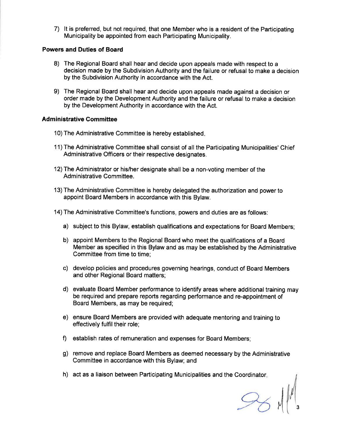7) lt is preferred, but not required, that one Member who is a resident of the Participating Municipality be appointed from each Participating Municipality.

### Powers and Duties of Board

- 8) The Regional Board shall hear and decide upon appeals made with respect to <sup>a</sup> decision made by the Subdivision Authority and the failure or refusal to make a decision by the Subdivision Authority in accordance with the Act.
- 9) The Regional Board shall hear and decide upon appeals made against a decision or order made by the Development Authority and the failure or refusal to make a decision by the Development Authority in accordance with the Act.

### **Administrative Committee**

- 10) The Administrative Committee is hereby established
- 11) The Administrative Committee shall consist of all the Participating Municipalities' Chief Administrative Officers or their respective designates.
- 12) The Administrator or his/her designate shall be a non-voting member of the Administrative Committee.
- 13) The Administrative Committee is hereby delegated the authorization and power to appoint Board Members in accordance with this Bylaw.
- 14) The Administrative Committee's functions, powers and duties are as follows:
	- a) subject to this Bylaw, establish qualifications and expectations for Board Members;
	- b) appoint Members to the Regional Board who meet the qualifications of a Board Member as specified in this Bylaw and as may be established by the Administrative Committee from time to time;
	- c) develop policies and procedures governing hearings, conduct of Board Members and other Regional Board matters;
	- d) evaluate Board Member performance to identify areas where additional training may be required and prepare reports regarding performance and re-appointment of Board Members, as may be required;
	- e) ensure Board Members are provided with adequate mentoring and training to effectively fulfil their role;
	- f) establish rates of remuneration and expenses for Board Members;
	- g) remove and replace Board Members as deemed necessary by the Administrative Committee in accordance with this Bylaw; and
	- h) act as a liaison between Participating Municipalities and the Coordinator

 $M \mid \quad$  3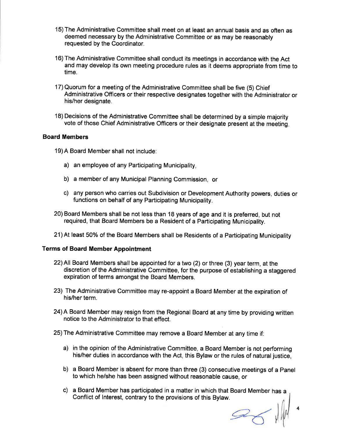- 15) The Administrative Committee shall meet on at least an annual basis and as often as deemed necessary by the Administrative Committee or as may be reasonably requested by the Coordinator.
- 16) The Administrative Committee shall conduct its meetings in accordance with the Act and may develop its own meeting procedure rules as it deems appropriate from time to time.
- 17) Quorum for a meeting of the Administrative Committee shall be five (5) Chief Administrative Officers or their respective designates together with the Administrator or his/her designate.
- 18) Decisions of the Administrative Committee shall be determined by a simple majority vote of those Chief Administrative Officers or their designate present at the meeting

#### Board Members

- 19)A Board Member shall not include:
	- a) an employee of any Participating Municipality,
	- b) a member of any Municipal Planning Commission, or
	- c) any person who carries out Subdivision or Development Authority powers, duties or functions on behalf of any Participating Municipality.
- 20) Board Members shall be not less than 18 years of age and it is preferred, but not required, that Board Members be a Resident of a Participating Municipality.
- 21) At least 50% of the Board Members shall be Residents of a Participating Municipality

#### Terms of Board Member Appointment

- 22) All Board Members shall be appointed for a two (2) or three (3) year term, at the discretion of the Administrative Committee, for the purpose of establishing a staggered expiration of terms amongst the Board Members.
- 23) The Administrative Committee may re-appoint a Board Member at the expiration of his/her term.
- 24) A Board Member may resign from the Regional Board at any time by providing written notice to the Administrator to that effect.
- 25) The Administrative Committee may remove a Board Member at any time if:
	- a) in the opinion of the Administrative Committee, a Board Member is not performing his/her duties in accordance with the Act, this Bylaw or the rules of natural justice.
	- b) a Board Member is absent for more than three (3) consecutive meetings of a Panel to which he/she has been assigned without reasonable cause, or
	- c) a Board Member has participated in a matter in which that Board Member has a Conflict of Interest, contrary to the provisions of this Bylaw.

 $\mathscr{D}_{\mathcal{C}}$ 

4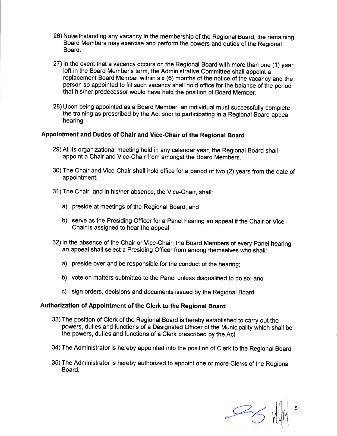- 26) Notwithstanding any vacancy in the membership of the Regional Board, the remaining Board Members may exercise and perform the powers and duties of the Regional **Board**
- 27)ln the event that a vacancy occurs on the Regional Board with more than one (1) year left in the Board Member's term, the Administrative Committee shall appoint a replacement Board Member within six (6) months of the notice of the vacancy and the person so appointed to fill such vacancy shall hold office for the balance of the period that his/her predecessor would have held the position of Board Member.
- 28) Upon being appointed as a Board Member, an individual must successfully complete the training as prescribed by the Act prior to participating in a Regional Board appeal hearing.

### Appointment and Duties of chair and vice-Ghair of the Regional Board

- 29) At its organizational meeting held in any calendar year, the Regional Board shall appoint a Chair and Vice-Chair from amongst the Board Members.
- 30) The Chair and Vice-Chair shall hold office for a period of two (2) years from the date of appointment.
- 31) The Chair, and in his/her absence, the Vice-Chair, shall:
	- a) preside at meetings of the Regional Board; and
	- b) serve as the Presiding Officer for a Panel hearing an appeal if the Chair or Vice-Chair is assigned to hear the appeal.
- 32) ln the absence of the Chair or Vice-Chair, the Board Members of every Panel hearing an appeal shall select a Presiding Officer from among themselves who shall:
	- a) preside over and be responsible for the conduct of the hearing;
	- b) vote on matters submitted to the Panel unless disqualified to do so; and
	- c) sign orders, decisions and documents issued by the Regional Board.

## Authorization of Appointment of the Clerk to the Regional Board

- 33) The position of Clerk of the Regional Board is hereby established to carry out the powers, duties and functions of a Designated Officer of the Municipality which shall be the powers, duties and functions of a Clerk prescribed by the Act.
- 34) The Administrator is hereby appointed into the position of Clerk to the Regional Board.
- 35) The Administrator is hereby authorized to appoint one or more Clerks of the Regional Board.

 $\mathcal{B}_{6}$ 5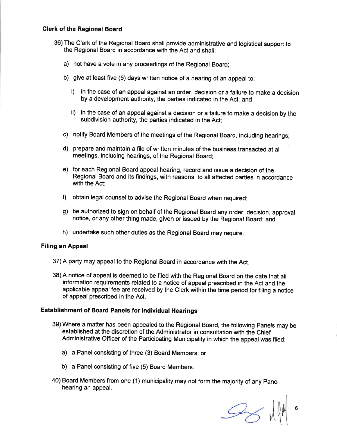### Glerk of the Regional Board

- 36) The Clerk of the Regional Board shall provide administrative and logistical support to the Regional Board in accordance with the Act and shall:
	- a) not have a vote in any proceedings of the Regional Board;
	- b) give at least five (5) days written notice of a hearing of an appeal to:
		- i) in the case of an appeal against an order, decision or a failure to make a decision by a development authority, the parties indicated in the Act; and
		- ii) in the case of an appeal against a decision or a failure to make a decision by the subdivision authority, the parties indicated in the Act;
	- c) notify Board Members of the meetings of the Regional Board, including hearings;
	- d) prepare and maintain a file of written minutes of the business transacted at all meetings, including hearings, of the Regional Board;
	- e) for each Regional Board appeal hearing, record and issue a decision of the Regional Board and its findings, with reasons, to all affected parties in accordance with the Act;
	- f) obtain legal counsel to advise the Regional Board when required;
	- g) be authorized to sign on behalf of the Regional Board any order, decision, approval, notice, or any other thing made, given or issued by the Regional Board; and
	- h) undertake such other duties as the Regional Board may require.

### Filing an Appeal

- 37) A party may appeal to the Regional Board in accordance with the Act.
- 38) A notice of appeal is deemed to be filed with the Regional Board on the date that all information requirements related to a notice of appeal prescribed in the Act and the applicable appeal fee are received by the Clerk within the time period for filing a notice of appeal prescribed in the Act.

### Establishment of Board Panels for lndividual Hearings

- 39) Where a matter has been appealed to the Regional Board, the following Panels may be established at the discretion of the Administrator in consultation with the Chief Administrative Officer of the Participating Municipality in which the appeal was filed.
	- a) a Panel consisting of three (3) Board Members; or
	- b) a Panel consisting of five (5) Board Members.
- 40) Board Members from one (1) municipality may not form the majority of any Panel hearing an appeal.

 $\mathcal{S}$  with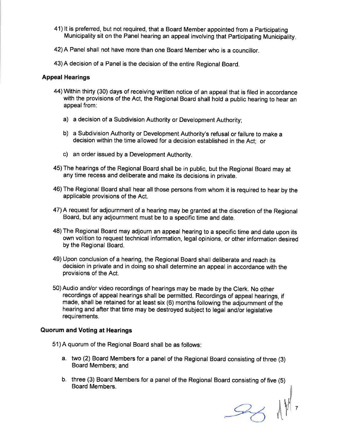- 41) lt is preferred, but not required, that a Board Member appointed from a Participating Municipality sit on the Panel hearing an appeal involving that Participating Municipality
- 42) A Panel shall not have more than one Board Member who is a councillor.
- 43) A decision of a Panel is the decision of the entire Regional Board.

### Appeal Hearings

- 44) Within thirty (30) days of receiving written notice of an appeal that is filed in accordance with the provisions of the Act, the Regional Board shall hold a public hearing to hear an appeal from:
	- a) a decision of a Subdivision Authority or Development Authority;
	- b) a Subdivision Authority or Development Authority's refusal or failure to make <sup>a</sup> decision within the time allowed for a decision established in the Act; or
	- c) an order issued by a Development Authority.
- 45) The hearings of the Regional Board shall be in public, but the Regional Board may at any time recess and deliberate and make its decisions in private.
- 46) The Regional Board shall hear all those persons from whom it is required to hear by the applicable provisions of the Act.
- 47) A request for adjournment of a hearing may be granted at the discretion of the Regional Board, but any adjournment must be to a specific time and date.
- 48) The Regional Board may adjourn an appeal hearing to a specific time and date upon its own volition to request technical information, legal opinions, or other information desired by the Regional Board.
- 49) Upon conclusion of a hearing, the Regional Board shall deliberate and reach its decision in private and in doing so shall determine an appeal in accordance with the provisions of the Act.
- 50) Audio and/or video recordings of hearings may be made by the Clerk. No other recordings of appeal hearings shall be permitted. Recordings of appeal hearings, if made, shall be retained for at least six (6) months following the adjournment of the hearing and after that time may be destroyed subject to legal and/or legislative requirements.

### Quorum and Voting at Hearings

- 51) A quorum of the Regional Board shall be as follows
	- a. two (2) Board Members for a panel of the Regional Board consisting of three (3) Board Members; and
	- b. three (3) Board Members for a panel of the Regional Board consisting of five (5) Board Members.

 $33$   $11$ 7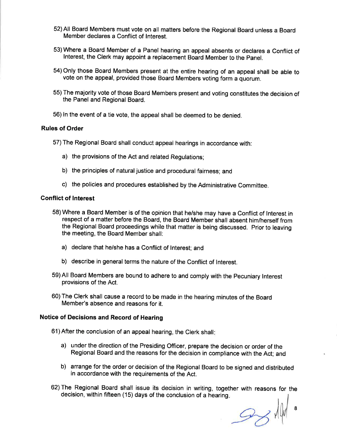- 52) All Board Members must vote on all matters before the Regional Board unless a Board Member declares a Conflict of lnterest.
- 53) Where a Board Member of a Panel hearing an appeal absents or declares a Conflict of lnterest, the clerk may appoint a replacement Board Member to the panel.
- 54) Only those Board Members present at the entire hearing of an appeal shall be able to vote on the appeal, provided those Board Members voting form a quorum.
- 55) The majority vote of those Board Members present and voting constitutes the decision of the Panel and Regional Board.
- 56) ln the event of a tie vote, the appeal shall be deemed to be denied.

#### Rules of Order

- 57) The Regional Board shall conduct appeal hearings in accordance with:
	- a) the provisions of the Act and related Regulations;
	- b) the principles of natural justice and procedural fairness; and
	- c) the policies and procedures established by the Administrative Committee.

#### Gonflict of lnterest

- 58) Where a Board Member is of the opinion that he/she may have a Conflict of lnterest in respect of a matter before the Board, the Board Member shall absent him/herself from the Regional Board proceedings while that matter is being discussed. Prior to leaving the meeting, the Board Member shall:
	- a) declare that he/she has a Conflict of lnterest; and
	- b) describe in general terms the nature of the Conflict of lnterest.
- 59)All Board Members are bound to adhere to and comply with the Pecuniary lnterest provisions of the Act.
- 60) The Clerk shall cause a record to be made in the hearing minutes of the Board Member's absence and reasons for it.

### Notice of Decisions and Record of Hearing

- 61) After the conclusion of an appeal hearing, the Clerk shall
	- a) under the direction of the Presiding Officer, prepare the decision or order of the Regional Board and the reasons for the decision in compliance with the Act; and
	- b) arrange for the order or decision of the Regional Board to be signed and distributed in accordance with the requirements of the Act.
- 62) The Regional Board shall issue its decision in writing, together with reasons for the decision, within fifteen (15) days of the conclusion of a hearing

 $334$ 8